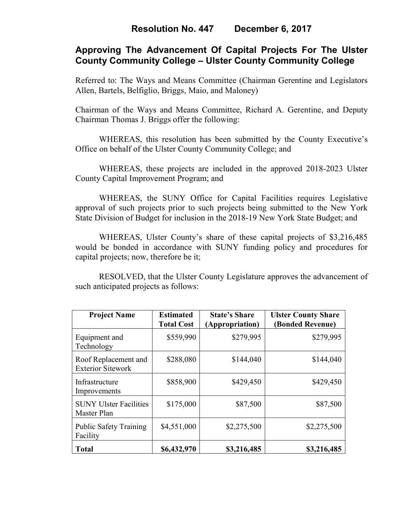# **Approving The Advancement Of Capital Projects For The Ulster County Community College – Ulster County Community College**

Referred to: The Ways and Means Committee (Chairman Gerentine and Legislators Allen, Bartels, Belfiglio, Briggs, Maio, and Maloney)

Chairman of the Ways and Means Committee, Richard A. Gerentine, and Deputy Chairman Thomas J. Briggs offer the following:

 WHEREAS, this resolution has been submitted by the County Executive's Office on behalf of the Ulster County Community College; and

WHEREAS, these projects are included in the approved 2018-2023 Ulster County Capital Improvement Program; and

WHEREAS, the SUNY Office for Capital Facilities requires Legislative approval of such projects prior to such projects being submitted to the New York State Division of Budget for inclusion in the 2018-19 New York State Budget; and

WHEREAS, Ulster County's share of these capital projects of \$3,216,485 would be bonded in accordance with SUNY funding policy and procedures for capital projects; now, therefore be it;

RESOLVED, that the Ulster County Legislature approves the advancement of such anticipated projects as follows:

| <b>Project Name</b>                              | <b>Estimated</b><br><b>Total Cost</b> | <b>State's Share</b><br>(Appropriation) | <b>Ulster County Share</b><br>(Bonded Revenue) |
|--------------------------------------------------|---------------------------------------|-----------------------------------------|------------------------------------------------|
| Equipment and<br>Technology                      | \$559,990                             | \$279,995                               | \$279,995                                      |
| Roof Replacement and<br><b>Exterior Sitework</b> | \$288,080                             | \$144,040                               | \$144,040                                      |
| Infrastructure<br>Improvements                   | \$858,900                             | \$429,450                               | \$429,450                                      |
| <b>SUNY Ulster Facilities</b><br>Master Plan     | \$175,000                             | \$87,500                                | \$87,500                                       |
| <b>Public Safety Training</b><br>Facility        | \$4,551,000                           | \$2,275,500                             | \$2,275,500                                    |
| <b>Total</b>                                     | \$6,432,970                           | \$3,216,485                             | \$3,216,485                                    |